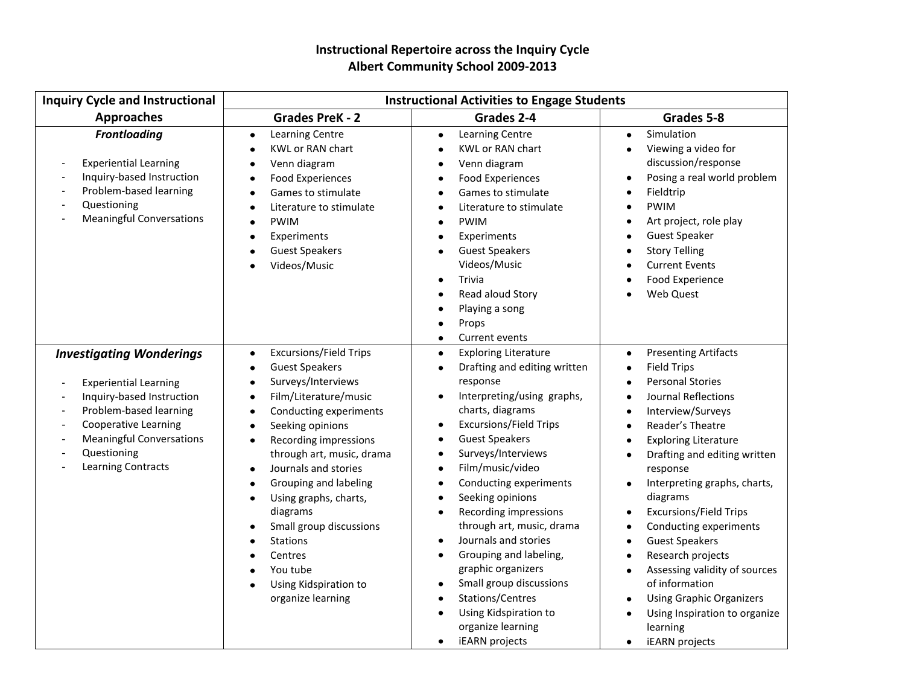## **Instructional Repertoire across the Inquiry Cycle Albert Community School 2009-2013**

| <b>Inquiry Cycle and Instructional</b>                                                                                                                                                                                                                                                       | <b>Instructional Activities to Engage Students</b>                                                                                                                                                                                                                                                                                                                                                                                                                                                                                                                                                                    |                                                                                                                                                                                                                                                                                                                                                                                                                                                                                                                                                                                                                                                                                            |                                                                                                                                                                                                                                                                                                                                                                                                                                                                                                                                                                                                                                                                                                                 |
|----------------------------------------------------------------------------------------------------------------------------------------------------------------------------------------------------------------------------------------------------------------------------------------------|-----------------------------------------------------------------------------------------------------------------------------------------------------------------------------------------------------------------------------------------------------------------------------------------------------------------------------------------------------------------------------------------------------------------------------------------------------------------------------------------------------------------------------------------------------------------------------------------------------------------------|--------------------------------------------------------------------------------------------------------------------------------------------------------------------------------------------------------------------------------------------------------------------------------------------------------------------------------------------------------------------------------------------------------------------------------------------------------------------------------------------------------------------------------------------------------------------------------------------------------------------------------------------------------------------------------------------|-----------------------------------------------------------------------------------------------------------------------------------------------------------------------------------------------------------------------------------------------------------------------------------------------------------------------------------------------------------------------------------------------------------------------------------------------------------------------------------------------------------------------------------------------------------------------------------------------------------------------------------------------------------------------------------------------------------------|
| <b>Approaches</b>                                                                                                                                                                                                                                                                            | <b>Grades PreK - 2</b>                                                                                                                                                                                                                                                                                                                                                                                                                                                                                                                                                                                                | Grades 2-4                                                                                                                                                                                                                                                                                                                                                                                                                                                                                                                                                                                                                                                                                 | Grades 5-8                                                                                                                                                                                                                                                                                                                                                                                                                                                                                                                                                                                                                                                                                                      |
| <b>Frontloading</b><br><b>Experiential Learning</b><br>Inquiry-based Instruction<br>Problem-based learning<br>Questioning<br><b>Meaningful Conversations</b>                                                                                                                                 | <b>Learning Centre</b><br>$\bullet$<br><b>KWL or RAN chart</b><br>$\bullet$<br>Venn diagram<br>$\bullet$<br><b>Food Experiences</b><br>$\bullet$<br>Games to stimulate<br>$\bullet$<br>Literature to stimulate<br>$\bullet$<br><b>PWIM</b><br>$\bullet$<br>Experiments<br>$\bullet$<br><b>Guest Speakers</b><br>$\bullet$<br>Videos/Music                                                                                                                                                                                                                                                                             | <b>Learning Centre</b><br>$\bullet$<br><b>KWL or RAN chart</b><br>٠<br>Venn diagram<br>٠<br><b>Food Experiences</b><br>$\bullet$<br>Games to stimulate<br>$\bullet$<br>Literature to stimulate<br>$\bullet$<br><b>PWIM</b><br>٠<br>Experiments<br>٠<br><b>Guest Speakers</b><br>$\bullet$<br>Videos/Music<br>Trivia<br>Read aloud Story<br>Playing a song<br>٠<br>Props<br>٠<br>Current events<br>$\bullet$                                                                                                                                                                                                                                                                                | Simulation<br>$\bullet$<br>Viewing a video for<br>٠<br>discussion/response<br>Posing a real world problem<br>$\bullet$<br>Fieldtrip<br>$\bullet$<br><b>PWIM</b><br>$\bullet$<br>Art project, role play<br>$\bullet$<br><b>Guest Speaker</b><br>$\bullet$<br><b>Story Telling</b><br><b>Current Events</b><br>Food Experience<br>Web Quest                                                                                                                                                                                                                                                                                                                                                                       |
| <b>Investigating Wonderings</b><br><b>Experiential Learning</b><br>Inquiry-based Instruction<br>Problem-based learning<br><b>Cooperative Learning</b><br>$\overline{\phantom{a}}$<br><b>Meaningful Conversations</b><br>$\overline{\phantom{a}}$<br>Questioning<br><b>Learning Contracts</b> | <b>Excursions/Field Trips</b><br>$\bullet$<br><b>Guest Speakers</b><br>$\bullet$<br>Surveys/Interviews<br>$\bullet$<br>Film/Literature/music<br>$\bullet$<br>Conducting experiments<br>$\bullet$<br>Seeking opinions<br>$\bullet$<br>Recording impressions<br>$\bullet$<br>through art, music, drama<br>Journals and stories<br>$\bullet$<br>Grouping and labeling<br>$\bullet$<br>Using graphs, charts,<br>$\bullet$<br>diagrams<br>Small group discussions<br>$\bullet$<br><b>Stations</b><br>$\bullet$<br>Centres<br>$\bullet$<br>You tube<br>$\bullet$<br>Using Kidspiration to<br>$\bullet$<br>organize learning | <b>Exploring Literature</b><br>$\bullet$<br>Drafting and editing written<br>٠<br>response<br>Interpreting/using graphs,<br>$\bullet$<br>charts, diagrams<br><b>Excursions/Field Trips</b><br>٠<br><b>Guest Speakers</b><br>٠<br>Surveys/Interviews<br>٠<br>Film/music/video<br>$\bullet$<br>Conducting experiments<br>$\bullet$<br>Seeking opinions<br>$\bullet$<br>Recording impressions<br>$\bullet$<br>through art, music, drama<br>Journals and stories<br>$\bullet$<br>Grouping and labeling,<br>$\bullet$<br>graphic organizers<br>Small group discussions<br>$\bullet$<br>Stations/Centres<br>$\bullet$<br>Using Kidspiration to<br>organize learning<br><b>iEARN</b> projects<br>٠ | <b>Presenting Artifacts</b><br>$\bullet$<br><b>Field Trips</b><br>$\bullet$<br><b>Personal Stories</b><br>Journal Reflections<br>$\bullet$<br>Interview/Surveys<br>$\bullet$<br>Reader's Theatre<br>$\bullet$<br><b>Exploring Literature</b><br>$\bullet$<br>Drafting and editing written<br>$\bullet$<br>response<br>Interpreting graphs, charts,<br>$\bullet$<br>diagrams<br><b>Excursions/Field Trips</b><br>$\bullet$<br>Conducting experiments<br>$\bullet$<br><b>Guest Speakers</b><br>$\bullet$<br>Research projects<br>$\bullet$<br>Assessing validity of sources<br>of information<br><b>Using Graphic Organizers</b><br>$\bullet$<br>Using Inspiration to organize<br>learning<br>iEARN projects<br>٠ |